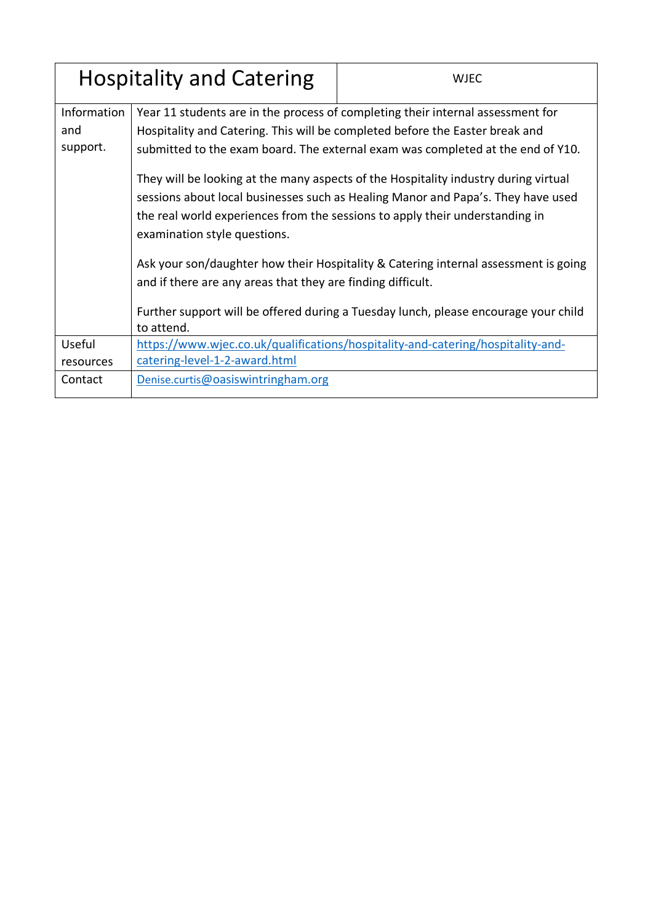| <b>Hospitality and Catering</b> |                                                                                                                                                                                                                                                                                                                                                                                                                                                                                                                                               | <b>WJEC</b>                                                                                                                                                                |  |
|---------------------------------|-----------------------------------------------------------------------------------------------------------------------------------------------------------------------------------------------------------------------------------------------------------------------------------------------------------------------------------------------------------------------------------------------------------------------------------------------------------------------------------------------------------------------------------------------|----------------------------------------------------------------------------------------------------------------------------------------------------------------------------|--|
| Information<br>and<br>support.  | Year 11 students are in the process of completing their internal assessment for<br>Hospitality and Catering. This will be completed before the Easter break and<br>submitted to the exam board. The external exam was completed at the end of Y10.<br>They will be looking at the many aspects of the Hospitality industry during virtual<br>sessions about local businesses such as Healing Manor and Papa's. They have used<br>the real world experiences from the sessions to apply their understanding in<br>examination style questions. |                                                                                                                                                                            |  |
|                                 | and if there are any areas that they are finding difficult.<br>to attend.                                                                                                                                                                                                                                                                                                                                                                                                                                                                     | Ask your son/daughter how their Hospitality & Catering internal assessment is going<br>Further support will be offered during a Tuesday lunch, please encourage your child |  |
| Useful<br>resources             | catering-level-1-2-award.html                                                                                                                                                                                                                                                                                                                                                                                                                                                                                                                 | https://www.wjec.co.uk/qualifications/hospitality-and-catering/hospitality-and-                                                                                            |  |
| Contact                         | Denise.curtis@oasiswintringham.org                                                                                                                                                                                                                                                                                                                                                                                                                                                                                                            |                                                                                                                                                                            |  |